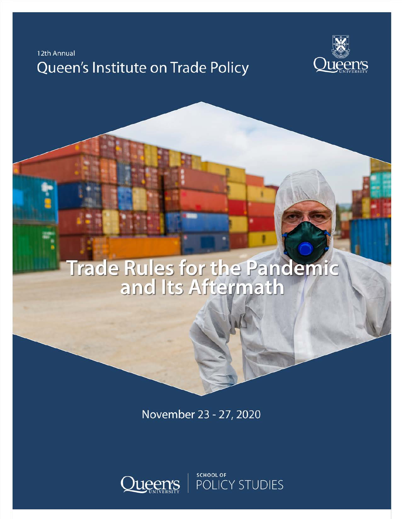12th Annual

# Queen's Institute on Trade Policy



# Trade Rules for the Pandemic

November 23 - 27, 2020



SCHOOL OF<br>POLICY STUDIES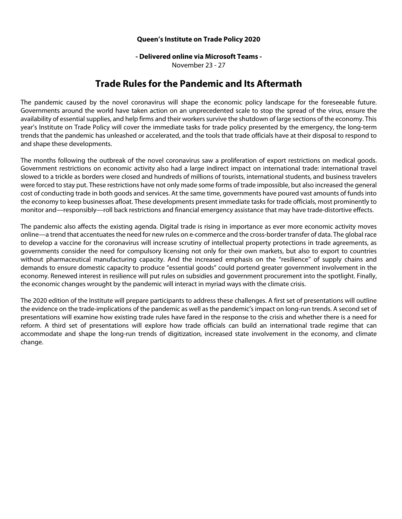#### **Queen's Institute on Trade Policy 2020**

# **- Delivered online via Microsoft Teams -**

November 23 - 27

# **Trade Rules for the Pandemic and Its Aftermath**

The pandemic caused by the novel coronavirus will shape the economic policy landscape for the foreseeable future. Governments around the world have taken action on an unprecedented scale to stop the spread of the virus, ensure the availability of essential supplies, and help firms and their workers survive the shutdown of large sections of the economy. This year's Institute on Trade Policy will cover the immediate tasks for trade policy presented by the emergency, the long-term trends that the pandemic has unleashed or accelerated, and the tools that trade officials have at their disposal to respond to and shape these developments.

The months following the outbreak of the novel coronavirus saw a proliferation of export restrictions on medical goods. Government restrictions on economic activity also had a large indirect impact on international trade: international travel slowed to a trickle as borders were closed and hundreds of millions of tourists, international students, and business travelers were forced to stay put. These restrictions have not only made some forms of trade impossible, but also increased the general cost of conducting trade in both goods and services. At the same time, governments have poured vast amounts of funds into the economy to keep businesses afloat. These developments present immediate tasks for trade officials, most prominently to monitor and—responsibly—roll back restrictions and financial emergency assistance that may have trade-distortive effects.

The pandemic also affects the existing agenda. Digital trade is rising in importance as ever more economic activity moves online—a trend that accentuates the need for new rules on e-commerce and the cross-border transfer of data. The global race to develop a vaccine for the coronavirus will increase scrutiny of intellectual property protections in trade agreements, as governments consider the need for compulsory licensing not only for their own markets, but also to export to countries without pharmaceutical manufacturing capacity. And the increased emphasis on the "resilience" of supply chains and demands to ensure domestic capacity to produce "essential goods" could portend greater government involvement in the economy. Renewed interest in resilience will put rules on subsidies and government procurement into the spotlight. Finally, the economic changes wrought by the pandemic will interact in myriad ways with the climate crisis.

The 2020 edition of the Institute will prepare participants to address these challenges. A first set of presentations will outline the evidence on the trade-implications of the pandemic as well as the pandemic's impact on long-run trends. A second set of presentations will examine how existing trade rules have fared in the response to the crisis and whether there is a need for reform. A third set of presentations will explore how trade officials can build an international trade regime that can accommodate and shape the long-run trends of digitization, increased state involvement in the economy, and climate change.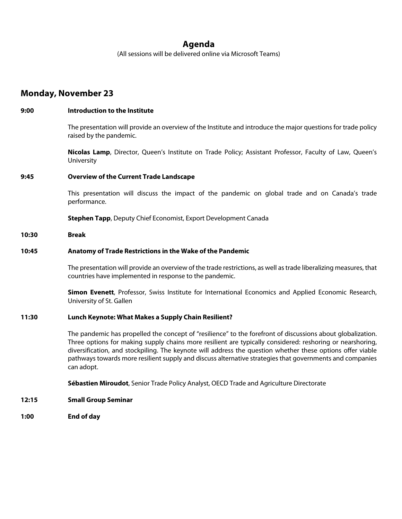## **Agenda**

(All sessions will be delivered online via Microsoft Teams)

### **Monday, November 23**

# **9:00 Introduction to the Institute**  The presentation will provide an overview of the Institute and introduce the major questions for trade policy raised by the pandemic. **Nicolas Lamp**, Director, Queen's Institute on Trade Policy; Assistant Professor, Faculty of Law, Queen's University **9:45 Overview of the Current Trade Landscape**  This presentation will discuss the impact of the pandemic on global trade and on Canada's trade performance. **Stephen Tapp**, Deputy Chief Economist, Export Development Canada **10:30 Break 10:45 Anatomy of Trade Restrictions in the Wake of the Pandemic**  The presentation will provide an overview of the trade restrictions, as well as trade liberalizing measures, that countries have implemented in response to the pandemic. **Simon Evenett**, Professor, Swiss Institute for International Economics and Applied Economic Research, University of St. Gallen **11:30 Lunch Keynote: What Makes a Supply Chain Resilient?**  The pandemic has propelled the concept of "resilience" to the forefront of discussions about globalization. Three options for making supply chains more resilient are typically considered: reshoring or nearshoring, diversification, and stockpiling. The keynote will address the question whether these options offer viable pathways towards more resilient supply and discuss alternative strategies that governments and companies can adopt. **Sébastien Miroudot**, Senior Trade Policy Analyst, OECD Trade and Agriculture Directorate **12:15 Small Group Seminar**

**1:00 End of day**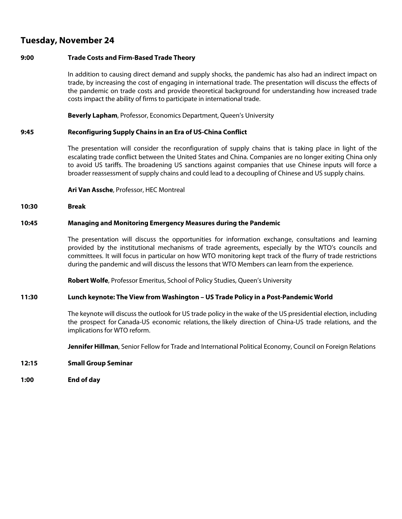# **Tuesday, November 24**

#### **9:00 Trade Costs and Firm-Based Trade Theory**

In addition to causing direct demand and supply shocks, the pandemic has also had an indirect impact on trade, by increasing the cost of engaging in international trade. The presentation will discuss the effects of the pandemic on trade costs and provide theoretical background for understanding how increased trade costs impact the ability of firms to participate in international trade.

**Beverly Lapham**, Professor, Economics Department, Queen's University

#### **9:45 Reconfiguring Supply Chains in an Era of US-China Conflict**

The presentation will consider the reconfiguration of supply chains that is taking place in light of the escalating trade conflict between the United States and China. Companies are no longer exiting China only to avoid US tariffs. The broadening US sanctions against companies that use Chinese inputs will force a broader reassessment of supply chains and could lead to a decoupling of Chinese and US supply chains.

**Ari Van Assche**, Professor, HEC Montreal

#### **10:30 Break**

#### **10:45 Managing and Monitoring Emergency Measures during the Pandemic**

The presentation will discuss the opportunities for information exchange, consultations and learning provided by the institutional mechanisms of trade agreements, especially by the WTO's councils and committees. It will focus in particular on how WTO monitoring kept track of the flurry of trade restrictions during the pandemic and will discuss the lessons that WTO Members can learn from the experience.

**Robert Wolfe**, Professor Emeritus, School of Policy Studies, Queen's University

#### **11:30 Lunch keynote: The View from Washington – US Trade Policy in a Post-Pandemic World**

The keynote will discuss the outlook for US trade policy in the wake of the US presidential election, including the prospect for Canada-US economic relations, the likely direction of China-US trade relations, and the implications for WTO reform.

**Jennifer Hillman**, Senior Fellow for Trade and International Political Economy, Council on Foreign Relations

- **12:15 Small Group Seminar**
- **1:00 End of day**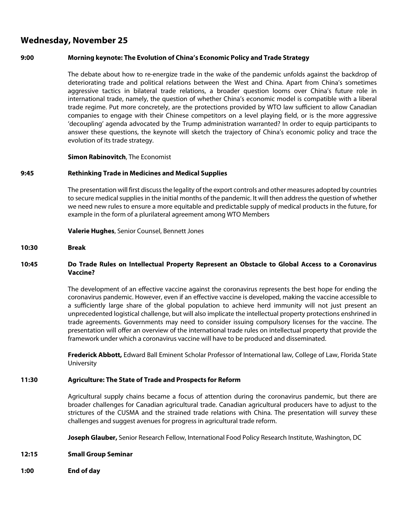# **Wednesday, November 25**

#### **9:00 Morning keynote: The Evolution of China's Economic Policy and Trade Strategy**

The debate about how to re-energize trade in the wake of the pandemic unfolds against the backdrop of deteriorating trade and political relations between the West and China. Apart from China's sometimes aggressive tactics in bilateral trade relations, a broader question looms over China's future role in international trade, namely, the question of whether China's economic model is compatible with a liberal trade regime. Put more concretely, are the protections provided by WTO law sufficient to allow Canadian companies to engage with their Chinese competitors on a level playing field, or is the more aggressive 'decoupling' agenda advocated by the Trump administration warranted? In order to equip participants to answer these questions, the keynote will sketch the trajectory of China's economic policy and trace the evolution of its trade strategy.

#### **Simon Rabinovitch**, The Economist

#### **9:45 Rethinking Trade in Medicines and Medical Supplies**

The presentation will first discuss the legality of the export controls and other measures adopted by countries to secure medical supplies in the initial months of the pandemic. It will then address the question of whether we need new rules to ensure a more equitable and predictable supply of medical products in the future, for example in the form of a plurilateral agreement among WTO Members

**Valerie Hughes**, Senior Counsel, Bennett Jones

#### **10:30 Break**

#### **10:45 Do Trade Rules on Intellectual Property Represent an Obstacle to Global Access to a Coronavirus Vaccine?**

The development of an effective vaccine against the coronavirus represents the best hope for ending the coronavirus pandemic. However, even if an effective vaccine is developed, making the vaccine accessible to a sufficiently large share of the global population to achieve herd immunity will not just present an unprecedented logistical challenge, but will also implicate the intellectual property protections enshrined in trade agreements. Governments may need to consider issuing compulsory licenses for the vaccine. The presentation will offer an overview of the international trade rules on intellectual property that provide the framework under which a coronavirus vaccine will have to be produced and disseminated.

**Frederick Abbott,** Edward Ball Eminent Scholar Professor of International law, College of Law, Florida State University

#### **11:30 Agriculture: The State of Trade and Prospects for Reform**

Agricultural supply chains became a focus of attention during the coronavirus pandemic, but there are broader challenges for Canadian agricultural trade. Canadian agricultural producers have to adjust to the strictures of the CUSMA and the strained trade relations with China. The presentation will survey these challenges and suggest avenues for progress in agricultural trade reform.

**Joseph Glauber,** Senior Research Fellow, International Food Policy Research Institute, Washington, DC

#### **12:15 Small Group Seminar**

**1:00 End of day**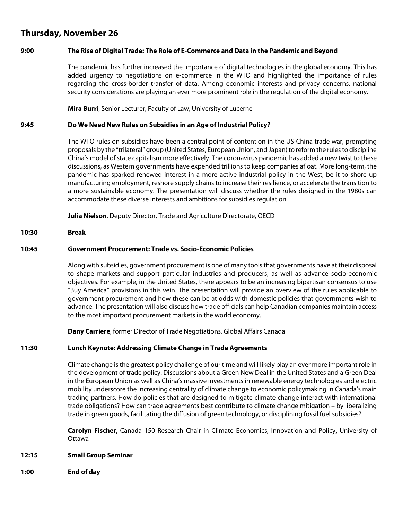# **Thursday, November 26**

#### **9:00 The Rise of Digital Trade: The Role of E-Commerce and Data in the Pandemic and Beyond**

The pandemic has further increased the importance of digital technologies in the global economy. This has added urgency to negotiations on e-commerce in the WTO and highlighted the importance of rules regarding the cross-border transfer of data. Among economic interests and privacy concerns, national security considerations are playing an ever more prominent role in the regulation of the digital economy.

**Mira Burri**, Senior Lecturer, Faculty of Law, University of Lucerne

#### **9:45 Do We Need New Rules on Subsidies in an Age of Industrial Policy?**

The WTO rules on subsidies have been a central point of contention in the US-China trade war, prompting proposals by the "trilateral" group (United States, European Union, and Japan) to reform the rules to discipline China's model of state capitalism more effectively. The coronavirus pandemic has added a new twist to these discussions, as Western governments have expended trillions to keep companies afloat. More long-term, the pandemic has sparked renewed interest in a more active industrial policy in the West, be it to shore up manufacturing employment, reshore supply chains to increase their resilience, or accelerate the transition to a more sustainable economy. The presentation will discuss whether the rules designed in the 1980s can accommodate these diverse interests and ambitions for subsidies regulation.

**Julia Nielson**, Deputy Director, Trade and Agriculture Directorate, OECD

#### **10:30 Break**

#### **10:45 Government Procurement: Trade vs. Socio-Economic Policies**

Along with subsidies, government procurement is one of many tools that governments have at their disposal to shape markets and support particular industries and producers, as well as advance socio-economic objectives. For example, in the United States, there appears to be an increasing bipartisan consensus to use "Buy America" provisions in this vein. The presentation will provide an overview of the rules applicable to government procurement and how these can be at odds with domestic policies that governments wish to advance. The presentation will also discuss how trade officials can help Canadian companies maintain access to the most important procurement markets in the world economy.

**Dany Carriere**, former Director of Trade Negotiations, Global Affairs Canada

#### **11:30 Lunch Keynote: Addressing Climate Change in Trade Agreements**

Climate change is the greatest policy challenge of our time and will likely play an ever more important role in the development of trade policy. Discussions about a Green New Deal in the United States and a Green Deal in the European Union as well as China's massive investments in renewable energy technologies and electric mobility underscore the increasing centrality of climate change to economic policymaking in Canada's main trading partners. How do policies that are designed to mitigate climate change interact with international trade obligations? How can trade agreements best contribute to climate change mitigation – by liberalizing trade in green goods, facilitating the diffusion of green technology, or disciplining fossil fuel subsidies?

**Carolyn Fischer**, Canada 150 Research Chair in Climate Economics, Innovation and Policy, University of Ottawa

#### **12:15 Small Group Seminar**

**1:00 End of day**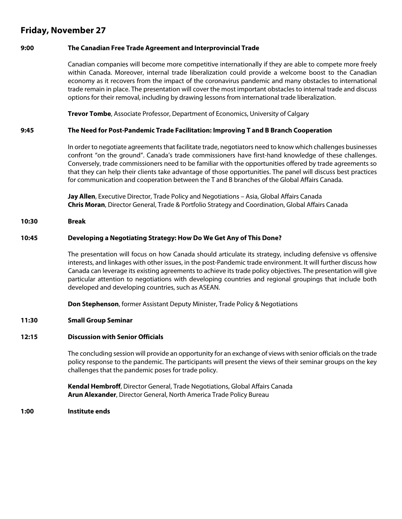# **Friday, November 27**

#### **9:00 The Canadian Free Trade Agreement and Interprovincial Trade**

Canadian companies will become more competitive internationally if they are able to compete more freely within Canada. Moreover, internal trade liberalization could provide a welcome boost to the Canadian economy as it recovers from the impact of the coronavirus pandemic and many obstacles to international trade remain in place. The presentation will cover the most important obstacles to internal trade and discuss options for their removal, including by drawing lessons from international trade liberalization.

**Trevor Tombe**, Associate Professor, Department of Economics, University of Calgary

#### **9:45 The Need for Post-Pandemic Trade Facilitation: Improving T and B Branch Cooperation**

In order to negotiate agreements that facilitate trade, negotiators need to know which challenges businesses confront "on the ground". Canada's trade commissioners have first-hand knowledge of these challenges. Conversely, trade commissioners need to be familiar with the opportunities offered by trade agreements so that they can help their clients take advantage of those opportunities. The panel will discuss best practices for communication and cooperation between the T and B branches of the Global Affairs Canada.

**Jay Allen**, Executive Director, Trade Policy and Negotiations – Asia, Global Affairs Canada **Chris Moran**, Director General, Trade & Portfolio Strategy and Coordination, Global Affairs Canada

#### **10:30 Break**

#### **10:45 Developing a Negotiating Strategy: How Do We Get Any of This Done?**

The presentation will focus on how Canada should articulate its strategy, including defensive vs offensive interests, and linkages with other issues, in the post-Pandemic trade environment. It will further discuss how Canada can leverage its existing agreements to achieve its trade policy objectives. The presentation will give particular attention to negotiations with developing countries and regional groupings that include both developed and developing countries, such as ASEAN.

**Don Stephenson**, former Assistant Deputy Minister, Trade Policy & Negotiations

#### **11:30 Small Group Seminar**

#### **12:15 Discussion with Senior Officials**

The concluding session will provide an opportunity for an exchange of views with senior officials on the trade policy response to the pandemic. The participants will present the views of their seminar groups on the key challenges that the pandemic poses for trade policy.

**Kendal Hembroff**, Director General, Trade Negotiations, Global Affairs Canada **Arun Alexander**, Director General, North America Trade Policy Bureau

**1:00 Institute ends**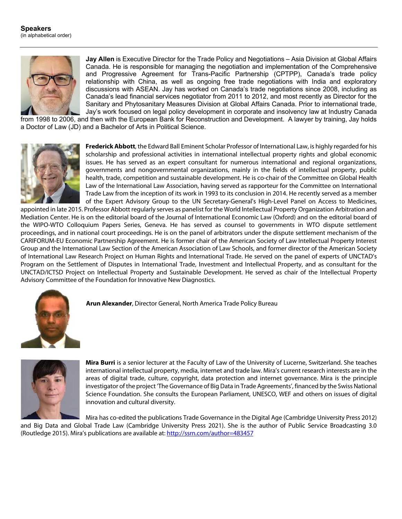

**Jay Allen** is Executive Director for the Trade Policy and Negotiations – Asia Division at Global Affairs Canada. He is responsible for managing the negotiation and implementation of the Comprehensive and Progressive Agreement for Trans-Pacific Partnership (CPTPP), Canada's trade policy relationship with China, as well as ongoing free trade negotiations with India and exploratory discussions with ASEAN. Jay has worked on Canada's trade negotiations since 2008, including as Canada's lead financial services negotiator from 2011 to 2012, and most recently as Director for the Sanitary and Phytosanitary Measures Division at Global Affairs Canada. Prior to international trade, Jay's work focused on legal policy development in corporate and insolvency law at Industry Canada

from 1998 to 2006, and then with the European Bank for Reconstruction and Development. A lawyer by training, Jay holds a Doctor of Law (JD) and a Bachelor of Arts in Political Science.



**Frederick Abbott**, the Edward Ball Eminent Scholar Professor of International Law, is highly regarded for his scholarship and professional activities in international intellectual property rights and global economic issues. He has served as an expert consultant for numerous international and regional organizations, governments and nongovernmental organizations, mainly in the fields of intellectual property, public health, trade, competition and sustainable development. He is co-chair of the Committee on Global Health Law of the International Law Association, having served as rapporteur for the Committee on International Trade Law from the inception of its work in 1993 to its conclusion in 2014. He recently served as a member of the Expert Advisory Group to the UN Secretary-General's High-Level Panel on Access to Medicines,

appointed in late 2015. Professor Abbott regularly serves as panelist for the World Intellectual Property Organization Arbitration and Mediation Center. He is on the editorial board of the Journal of International Economic Law (Oxford) and on the editorial board of the WIPO-WTO Colloquium Papers Series, Geneva. He has served as counsel to governments in WTO dispute settlement proceedings, and in national court proceedings. He is on the panel of arbitrators under the dispute settlement mechanism of the CARIFORUM-EU Economic Partnership Agreement. He is former chair of the American Society of Law Intellectual Property Interest Group and the International Law Section of the American Association of Law Schools, and former director of the American Society of International Law Research Project on Human Rights and International Trade. He served on the panel of experts of UNCTAD's Program on the Settlement of Disputes in International Trade, Investment and Intellectual Property, and as consultant for the UNCTAD/ICTSD Project on Intellectual Property and Sustainable Development. He served as chair of the Intellectual Property Advisory Committee of the Foundation for Innovative New Diagnostics.



**Arun Alexander**, Director General, North America Trade Policy Bureau



**Mira Burri** is a senior lecturer at the Faculty of Law of the University of Lucerne, Switzerland. She teaches international intellectual property, media, internet and trade law. Mira's current research interests are in the areas of digital trade, culture, copyright, data protection and internet governance. Mira is the principle investigator of the project 'The Governance of Big Data in Trade Agreements', financed by the Swiss National Science Foundation. She consults the European Parliament, UNESCO, WEF and others on issues of digital innovation and cultural diversity.

Mira has co-edited the publications Trade Governance in the Digital Age (Cambridge University Press 2012) and Big Data and Global Trade Law (Cambridge University Press 2021). She is the author of Public Service Broadcasting 3.0 (Routledge 2015). Mira's publications are available at: http://ssrn.com/author=483457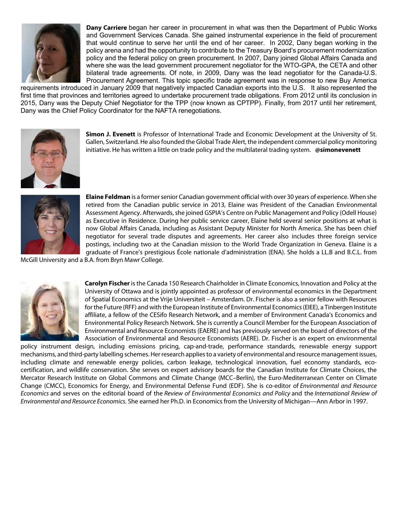

**Dany Carriere** began her career in procurement in what was then the Department of Public Works and Government Services Canada. She gained instrumental experience in the field of procurement that would continue to serve her until the end of her career. In 2002, Dany began working in the policy arena and had the opportunity to contribute to the Treasury Board's procurement modernization policy and the federal policy on green procurement. In 2007, Dany joined Global Affairs Canada and where she was the lead government procurement negotiator for the WTO-GPA, the CETA and other bilateral trade agreements. Of note, in 2009, Dany was the lead negotiator for the Canada-U.S. Procurement Agreement. This topic specific trade agreement was in response to new Buy America

requirements introduced in January 2009 that negatively impacted Canadian exports into the U.S. It also represented the first time that provinces and territories agreed to undertake procurement trade obligations. From 2012 until its conclusion in 2015, Dany was the Deputy Chief Negotiator for the TPP (now known as CPTPP). Finally, from 2017 until her retirement, Dany was the Chief Policy Coordinator for the NAFTA renegotiations.



**Simon J. Evenett** is Professor of International Trade and Economic Development at the University of St. Gallen, Switzerland. He also founded the Global Trade Alert, the independent commercial policy monitoring initiative. He has written a little on trade policy and the multilateral trading system. **@simonevenett**



**Elaine Feldman** is a former senior Canadian government official with over 30 years of experience. When she retired from the Canadian public service in 2013, Elaine was President of the Canadian Environmental Assessment Agency. Afterwards, she joined GSPIA's Centre on Public Management and Policy (Odell House) as Executive in Residence. During her public service career, Elaine held several senior positions at what is now Global Affairs Canada, including as Assistant Deputy Minister for North America. She has been chief negotiator for several trade disputes and agreements. Her career also includes three foreign service postings, including two at the Canadian mission to the World Trade Organization in Geneva. Elaine is a graduate of France's prestigious École nationale d'administration (ENA). She holds a LL.B and B.C.L. from

McGill University and a B.A. from Bryn Mawr College.



**Carolyn Fischer** is the Canada 150 Research Chairholder in Climate Economics, Innovation and Policy at the University of Ottawa and is jointly appointed as professor of environmental economics in the Department of Spatial Economics at the Vrije Universiteit – Amsterdam. Dr. Fischer is also a senior fellow with Resources for the Future (RFF) and with the European Institute of Environmental Economics (EIEE), a Tinbergen Institute affiliate, a fellow of the CESifo Research Network, and a member of Environment Canada's Economics and Environmental Policy Research Network. She is currently a Council Member for the European Association of Environmental and Resource Economists (EAERE) and has previously served on the board of directors of the Association of Environmental and Resource Economists (AERE). Dr. Fischer is an expert on environmental

policy instrument design, including emissions pricing, cap-and-trade, performance standards, renewable energy support mechanisms, and third-party labelling schemes. Her research applies to a variety of environmental and resource management issues, including climate and renewable energy policies, carbon leakage, technological innovation, fuel economy standards, ecocertification, and wildlife conservation. She serves on expert advisory boards for the Canadian Institute for Climate Choices, the Mercator Research Institute on Global Commons and Climate Change (MCC–Berlin), the Euro-Mediterranean Center on Climate Change (CMCC), Economics for Energy, and Environmental Defense Fund (EDF). She is co-editor of *Environmental and Resource Economics* and serves on the editorial board of the *Review of Environmental Economics and Policy* and the *International Review of Environmental and Resource Economics*. She earned her Ph.D. in Economics from the University of Michigan—Ann Arbor in 1997.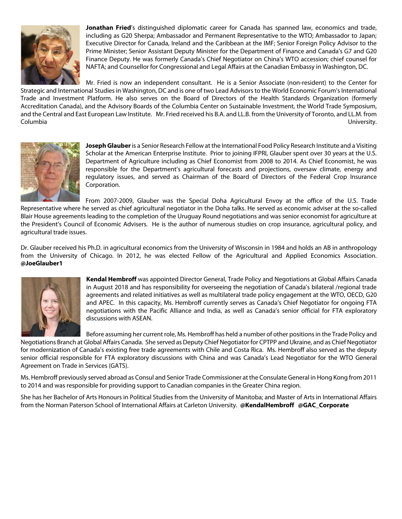

**Jonathan Fried**'s distinguished diplomatic career for Canada has spanned law, economics and trade, including as G20 Sherpa; Ambassador and Permanent Representative to the WTO; Ambassador to Japan; Executive Director for Canada, Ireland and the Caribbean at the IMF; Senior Foreign Policy Advisor to the Prime Minister; Senior Assistant Deputy Minister for the Department of Finance and Canada's G7 and G20 Finance Deputy. He was formerly Canada's Chief Negotiator on China's WTO accession; chief counsel for NAFTA; and Counsellor for Congressional and Legal Affairs at the Canadian Embassy in Washington, DC.

Mr. Fried is now an independent consultant. He is a Senior Associate (non-resident) to the Center for Strategic and International Studies in Washington, DC and is one of two Lead Advisors to the World Economic Forum's International Trade and Investment Platform. He also serves on the Board of Directors of the Health Standards Organization (formerly Accreditation Canada), and the Advisory Boards of the Columbia Center on Sustainable Investment, the World Trade Symposium, and the Central and East European Law Institute. Mr. Fried received his B.A. and LL.B. from the University of Toronto, and LL.M. from Columbia University.



**Joseph Glauber**is a Senior Research Fellow at the International Food Policy Research Institute and a Visiting Scholar at the American Enterprise Institute. Prior to joining IFPRI, Glauber spent over 30 years at the U.S. Department of Agriculture including as Chief Economist from 2008 to 2014. As Chief Economist, he was responsible for the Department's agricultural forecasts and projections, oversaw climate, energy and regulatory issues, and served as Chairman of the Board of Directors of the Federal Crop Insurance Corporation.

From 2007-2009, Glauber was the Special Doha Agricultural Envoy at the office of the U.S. Trade

Representative where he served as chief agricultural negotiator in the Doha talks. He served as economic adviser at the so-called Blair House agreements leading to the completion of the Uruguay Round negotiations and was senior economist for agriculture at the President's Council of Economic Advisers. He is the author of numerous studies on crop insurance, agricultural policy, and agricultural trade issues.

Dr. Glauber received his Ph.D. in agricultural economics from the University of Wisconsin in 1984 and holds an AB in anthropology from the University of Chicago. In 2012, he was elected Fellow of the Agricultural and Applied Economics Association. **@JoeGlauber1**



**Kendal Hembroff** was appointed Director General, Trade Policy and Negotiations at Global Affairs Canada in August 2018 and has responsibility for overseeing the negotiation of Canada's bilateral /regional trade agreements and related initiatives as well as multilateral trade policy engagement at the WTO, OECD, G20 and APEC. In this capacity, Ms. Hembroff currently serves as Canada's Chief Negotiator for ongoing FTA negotiations with the Pacific Alliance and India, as well as Canada's senior official for FTA exploratory discussions with ASEAN.

Before assuming her current role, Ms. Hembroff has held a number of other positions in the Trade Policy and Negotiations Branch at Global Affairs Canada. She served as Deputy Chief Negotiator for CPTPP and Ukraine, and as Chief Negotiator for modernization of Canada's existing free trade agreements with Chile and Costa Rica. Ms. Hembroff also served as the deputy senior official responsible for FTA exploratory discussions with China and was Canada's Lead Negotiator for the WTO General Agreement on Trade in Services (GATS).

Ms. Hembroff previously served abroad as Consul and Senior Trade Commissioner at the Consulate General in Hong Kong from 2011 to 2014 and was responsible for providing support to Canadian companies in the Greater China region.

She has her Bachelor of Arts Honours in Political Studies from the University of Manitoba; and Master of Arts in International Affairs from the Norman Paterson School of International Affairs at Carleton University. **@KendalHembroff @GAC\_Corporate**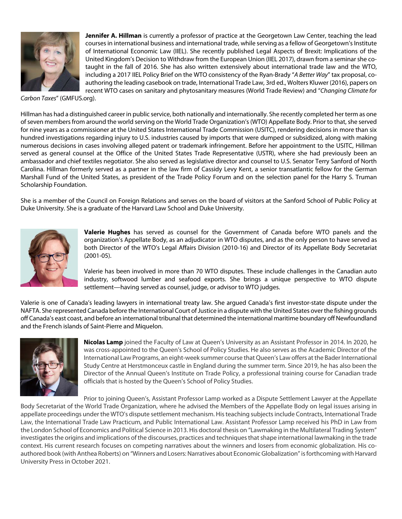

**Jennifer A. Hillman** is currently a professor of practice at the Georgetown Law Center, teaching the lead courses in international business and international trade, while serving as a fellow of Georgetown's Institute of International Economic Law (IIEL). She recently published Legal Aspects of Brexit: Implications of the United Kingdom's Decision to Withdraw from the European Union (IIEL 2017), drawn from a seminar she cotaught in the fall of 2016. She has also written extensively about international trade law and the WTO, including a 2017 IIEL Policy Brief on the WTO consistency of the Ryan-Brady "*A Better Way*" tax proposal, coauthoring the leading casebook on trade, International Trade Law, 3rd ed., Wolters Kluwer (2016), papers on recent WTO cases on sanitary and phytosanitary measures (World Trade Review) and "*Changing Climate for* 

*Carbon Taxes*" (GMFUS.org).

Hillman has had a distinguished career in public service, both nationally and internationally. She recently completed her term as one of seven members from around the world serving on the World Trade Organization's (WTO) Appellate Body. Prior to that, she served for nine years as a commissioner at the United States International Trade Commission (USITC), rendering decisions in more than six hundred investigations regarding injury to U.S. industries caused by imports that were dumped or subsidized, along with making numerous decisions in cases involving alleged patent or trademark infringement. Before her appointment to the USITC, Hillman served as general counsel at the Office of the United States Trade Representative (USTR), where she had previously been an ambassador and chief textiles negotiator. She also served as legislative director and counsel to U.S. Senator Terry Sanford of North Carolina. Hillman formerly served as a partner in the law firm of Cassidy Levy Kent, a senior transatlantic fellow for the German Marshall Fund of the United States, as president of the Trade Policy Forum and on the selection panel for the Harry S. Truman Scholarship Foundation.

She is a member of the Council on Foreign Relations and serves on the board of visitors at the Sanford School of Public Policy at Duke University. She is a graduate of the Harvard Law School and Duke University.



**Valerie Hughes** has served as counsel for the Government of Canada before WTO panels and the organization's Appellate Body, as an adjudicator in WTO disputes, and as the only person to have served as both Director of the WTO's Legal Affairs Division (2010-16) and Director of its Appellate Body Secretariat (2001-05).

Valerie has been involved in more than 70 WTO disputes. These include challenges in the Canadian auto industry, softwood lumber and seafood exports. She brings a unique perspective to WTO dispute settlement—having served as counsel, judge, or advisor to WTO judges.

Valerie is one of Canada's leading lawyers in international treaty law. She argued Canada's first investor-state dispute under the NAFTA. She represented Canada before the International Court of Justice in a dispute with the United States over the fishing grounds off Canada's east coast, and before an international tribunal that determined the international maritime boundary off Newfoundland and the French islands of Saint-Pierre and Miquelon.



**Nicolas Lamp** joined the Faculty of Law at Queen's University as an Assistant Professor in 2014. In 2020, he was cross-appointed to the Queen's School of Policy Studies. He also serves as the Academic Director of the International Law Programs, an eight-week summer course that Queen's Law offers at the Bader International Study Centre at Herstmonceux castle in England during the summer term. Since 2019, he has also been the Director of the Annual Queen's Institute on Trade Policy, a professional training course for Canadian trade officials that is hosted by the Queen's School of Policy Studies.

Prior to joining Queen's, Assistant Professor Lamp worked as a Dispute Settlement Lawyer at the Appellate Body Secretariat of the World Trade Organization, where he advised the Members of the Appellate Body on legal issues arising in appellate proceedings under the WTO's dispute settlement mechanism. His teaching subjects include Contracts, International Trade Law, the International Trade Law Practicum, and Public International Law. Assistant Professor Lamp received his PhD in Law from the London School of Economics and Political Science in 2013. His doctoral thesis on "Lawmaking in the Multilateral Trading System" investigates the origins and implications of the discourses, practices and techniques that shape international lawmaking in the trade context. His current research focuses on competing narratives about the winners and losers from economic globalization. His coauthored book (with Anthea Roberts) on "Winners and Losers: Narratives about Economic Globalization" is forthcoming with Harvard University Press in October 2021.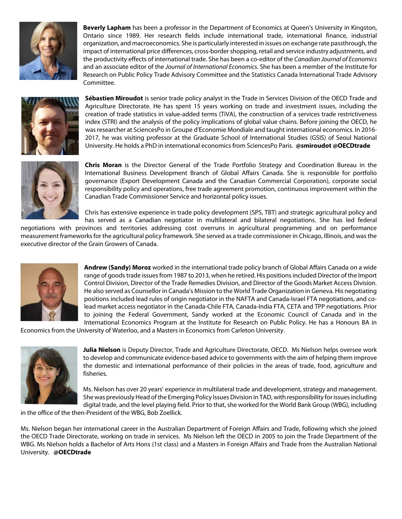

**Beverly Lapham** has been a professor in the Department of Economics at Queen's University in Kingston, Ontario since 1989. Her research fields include international trade, international finance, industrial organization, and macroeconomics. She is particularly interested in issues on exchange rate passthrough, the impact of international price differences, cross‐border shopping, retail and service industry adjustments, and the productivity effects of international trade. She has been a co‐editor of the *Canadian Journal of Economics* and an associate editor of the *Journal of International Economics*. She has been a member of the Institute for Research on Public Policy Trade Advisory Committee and the Statistics Canada International Trade Advisory Committee.



**Sébastien Miroudot** is senior trade policy analyst in the Trade in Services Division of the OECD Trade and Agriculture Directorate. He has spent 15 years working on trade and investment issues, including the creation of trade statistics in value-added terms (TiVA), the construction of a services trade restrictiveness index (STRI) and the analysis of the policy implications of global value chains. Before joining the OECD, he was researcher at SciencesPo in Groupe d'Economie Mondiale and taught international economics. In 2016- 2017, he was visiting professor at the Graduate School of International Studies (GSIS) of Seoul National University. He holds a PhD in international economics from SciencesPo Paris. **@smiroudot @OECDtrade**



**Chris Moran** is the Director General of the Trade Portfolio Strategy and Coordination Bureau in the International Business Development Branch of Global Affairs Canada. She is responsible for portfolio governance (Export Development Canada and the Canadian Commercial Corporation), corporate social responsibility policy and operations, free trade agreement promotion, continuous improvement within the Canadian Trade Commissioner Service and horizontal policy issues.

Chris has extensive experience in trade policy development (SPS, TBT) and strategic agricultural policy and has served as a Canadian negotiator in multilateral and bilateral negotiations. She has led federal

negotiations with provinces and territories addressing cost overruns in agricultural programming and on performance measurement frameworks for the agricultural policy framework. She served as a trade commissioner in Chicago, Illinois, and was the executive director of the Grain Growers of Canada.



**Andrew (Sandy) Moroz** worked in the international trade policy branch of Global Affairs Canada on a wide range of goods trade issues from 1987 to 2013, when he retired. His positions included Director of the Import Control Division, Director of the Trade Remedies Division, and Director of the Goods Market Access Division. He also served as Counsellor in Canada's Mission to the World Trade Organization in Geneva. His negotiating positions included lead rules of origin negotiator in the NAFTA and Canada-Israel FTA negotiations, and colead market access negotiator in the Canada-Chile FTA, Canada-India FTA, CETA and TPP negotiations. Prior to joining the Federal Government, Sandy worked at the Economic Council of Canada and in the International Economics Program at the Institute for Research on Public Policy. He has a Honours BA in

Economics from the University of Waterloo, and a Masters in Economics from Carleton University.



**Julia Nielson** is Deputy Director, Trade and Agriculture Directorate, OECD. Ms Nielson helps oversee work to develop and communicate evidence-based advice to governments with the aim of helping them improve the domestic and international performance of their policies in the areas of trade, food, agriculture and fisheries.

Ms. Nielson has over 20 years' experience in multilateral trade and development, strategy and management. She was previously Head of the Emerging Policy Issues Division in TAD, with responsibility for issues including digital trade, and the level playing field. Prior to that, she worked for the World Bank Group (WBG), including

in the office of the then-President of the WBG, Bob Zoellick.

Ms. Nielson began her international career in the Australian Department of Foreign Affairs and Trade, following which she joined the OECD Trade Directorate, working on trade in services. Ms Nielson left the OECD in 2005 to join the Trade Department of the WBG. Ms Nielson holds a Bachelor of Arts Hons (1st class) and a Masters in Foreign Affairs and Trade from the Australian National University. **@OECDtrade**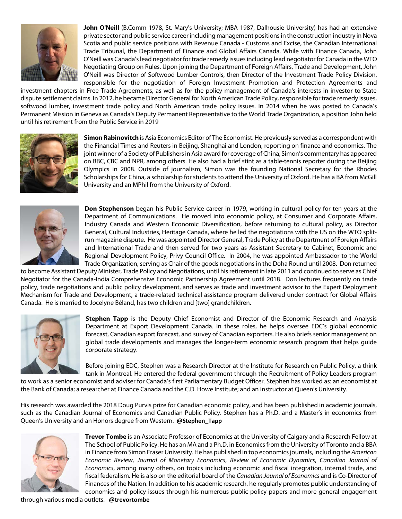

**John O'Neill** (B.Comm 1978, St. Mary's University; MBA 1987, Dalhousie University) has had an extensive private sector and public service career including management positions in the construction industry in Nova Scotia and public service positions with Revenue Canada - Customs and Excise, the Canadian International Trade Tribunal, the Department of Finance and Global Affairs Canada. While with Finance Canada, John O'Neill was Canada's lead negotiator for trade remedy issues including lead negotiator for Canada in the WTO Negotiating Group on Rules. Upon joining the Department of Foreign Affairs, Trade and Development, John O'Neill was Director of Softwood Lumber Controls, then Director of the Investment Trade Policy Division, responsible for the negotiation of Foreign Investment Promotion and Protection Agreements and

investment chapters in Free Trade Agreements, as well as for the policy management of Canada's interests in investor to State dispute settlement claims. In 2012, he became Director General for North American Trade Policy, responsible for trade remedy issues, softwood lumber, investment trade policy and North American trade policy issues. In 2014 when he was posted to Canada's Permanent Mission in Geneva as Canada's Deputy Permanent Representative to the World Trade Organization, a position John held until his retirement from the Public Service in 2019



**Simon Rabinovitch** is Asia Economics Editor of The Economist. He previously served as a correspondent with the Financial Times and Reuters in Beijing, Shanghai and London, reporting on finance and economics. The joint winner of a Society of Publishers in Asia award for coverage of China, Simon's commentary has appeared on BBC, CBC and NPR, among others. He also had a brief stint as a table-tennis reporter during the Beijing Olympics in 2008. Outside of journalism, Simon was the founding National Secretary for the Rhodes Scholarships for China, a scholarship for students to attend the University of Oxford. He has a BA from McGill University and an MPhil from the University of Oxford.



**Don Stephenson** began his Public Service career in 1979, working in cultural policy for ten years at the Department of Communications. He moved into economic policy, at Consumer and Corporate Affairs, Industry Canada and Western Economic Diversification, before returning to cultural policy, as Director General, Cultural Industries, Heritage Canada, where he led the negotiations with the US on the WTO splitrun magazine dispute. He was appointed Director General, Trade Policy at the Department of Foreign Affairs and International Trade and then served for two years as Assistant Secretary to Cabinet, Economic and Regional Development Policy, Privy Council Office. In 2004, he was appointed Ambassador to the World Trade Organization, serving as Chair of the goods negotiations in the Doha Round until 2008. Don returned

to become Assistant Deputy Minister, Trade Policy and Negotiations, until his retirement in late 2011 and continued to serve as Chief Negotiator for the Canada-India Comprehensive Economic Partnership Agreement until 2018. Don lectures frequently on trade policy, trade negotiations and public policy development, and serves as trade and investment advisor to the Expert Deployment Mechanism for Trade and Development, a trade-related technical assistance program delivered under contract for Global Affairs Canada. He is married to Jocelyne Béland, has two children and [two] grandchildren.



**Stephen Tapp** is the Deputy Chief Economist and Director of the Economic Research and Analysis Department at Export Development Canada. In these roles, he helps oversee EDC's global economic forecast, Canadian export forecast, and survey of Canadian exporters. He also briefs senior management on global trade developments and manages the longer-term economic research program that helps guide corporate strategy.

Before joining EDC, Stephen was a Research Director at the Institute for Research on Public Policy, a think tank in Montreal. He entered the federal government through the Recruitment of Policy Leaders program

to work as a senior economist and adviser for Canada's first Parliamentary Budget Officer. Stephen has worked as: an economist at the Bank of Canada; a researcher at Finance Canada and the C.D. Howe Institute; and an instructor at Queen's University.

His research was awarded the 2018 Doug Purvis prize for Canadian economic policy, and has been published in academic journals, such as the Canadian Journal of Economics and Canadian Public Policy. Stephen has a Ph.D. and a Master's in economics from Queen's University and an Honors degree from Western. **@Stephen\_Tapp**



**Trevor Tombe** is an Associate Professor of Economics at the University of Calgary and a Research Fellow at The School of Public Policy. He has an MA and a Ph.D. in Economics from the University of Toronto and a BBA in Finance from Simon Fraser University. He has published in top economics journals, including the *American Economic Review*, *Journal of Monetary Economics*, *Review of Economic Dynamics*, *Canadian Journal of Economics*, among many others, on topics including economic and fiscal integration, internal trade, and fiscal federalism. He is also on the editorial board of the *Canadian Journal of Economics* and is Co-Director of Finances of the Nation. In addition to his academic research, he regularly promotes public understanding of economics and policy issues through his numerous public policy papers and more general engagement